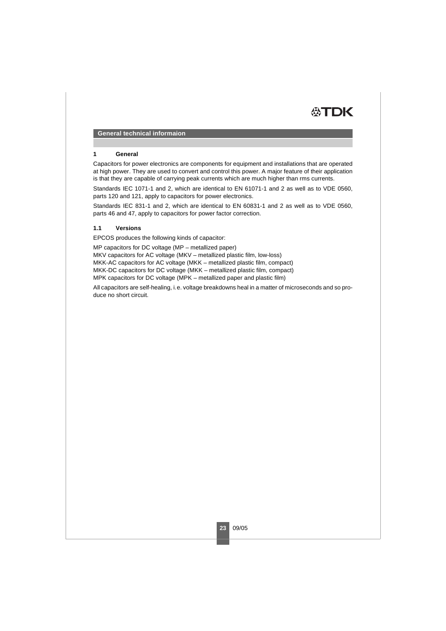

#### **1 General**

Capacitors for power electronics are components for equipment and installations that are operated at high power. They are used to convert and control this power. A major feature of their application is that they are capable of carrying peak currents which are much higher than rms currents.

Standards IEC 1071-1 and 2, which are identical to EN 61071-1 and 2 as well as to VDE 0560, parts 120 and 121, apply to capacitors for power electronics.

Standards IEC 831-1 and 2, which are identical to EN 60831-1 and 2 as well as to VDE 0560, parts 46 and 47, apply to capacitors for power factor correction.

## **1.1 Versions**

EPCOS produces the following kinds of capacitor:

MP capacitors for DC voltage (MP – metallized paper) MKV capacitors for AC voltage (MKV – metallized plastic film, low-loss) MKK-AC capacitors for AC voltage (MKK – metallized plastic film, compact) MKK-DC capacitors for DC voltage (MKK – metallized plastic film, compact) MPK capacitors for DC voltage (MPK – metallized paper and plastic film)

All capacitors are self-healing, i.e. voltage breakdowns heal in a matter of microseconds and so produce no short circuit.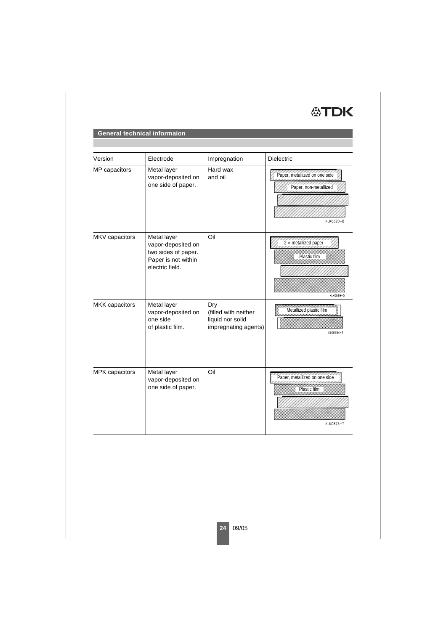

| Version        | Electrode                                                                                          | Impregnation                                                            | <b>Dielectric</b>                                                   |
|----------------|----------------------------------------------------------------------------------------------------|-------------------------------------------------------------------------|---------------------------------------------------------------------|
| MP capacitors  | Metal layer<br>vapor-deposited on<br>one side of paper.                                            | Hard wax<br>and oil                                                     | Paper, metallized on one side<br>Paper, non-metallized<br>KLK0820-8 |
| MKV capacitors | Metal layer<br>vapor-deposited on<br>two sides of paper.<br>Paper is not within<br>electric field. | Oil                                                                     | $2 \times$ metallized paper<br>Plastic film<br>KLK0819-5            |
| MKK capacitors | Metal layer<br>vapor-deposited on<br>one side<br>of plastic film.                                  | Dry<br>(filled with neither<br>liquid nor solid<br>impregnating agents) | Metallized plastic film<br>KLK0764-T                                |
| MPK capacitors | Metal layer<br>vapor-deposited on<br>one side of paper.                                            | Oil                                                                     | <i>mummummummummumm</i><br>Plastic film<br>KLK0873-Y                |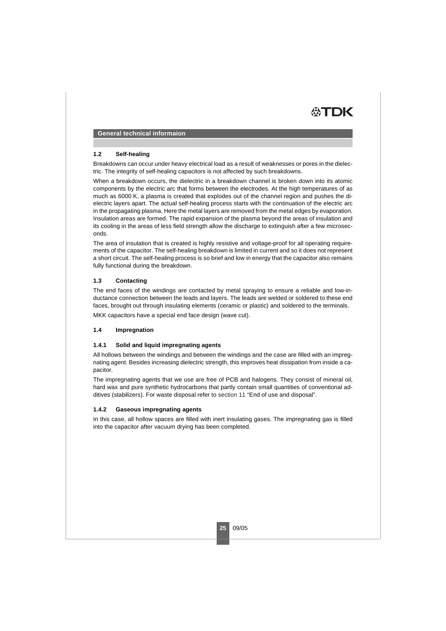

#### **1.2 Self-healing**

Breakdowns can occur under heavy electrical load as a result of weaknesses or pores in the dielectric. The integrity of self-healing capacitors is not affected by such breakdowns.

When a breakdown occurs, the dielectric in a breakdown channel is broken down into its atomic components by the electric arc that forms between the electrodes. At the high temperatures of as much as 6000 K, a plasma is created that explodes out of the channel region and pushes the dielectric layers apart. The actual self-healing process starts with the continuation of the electric arc in the propagating plasma. Here the metal layers are removed from the metal edges by evaporation. Insulation areas are formed. The rapid expansion of the plasma beyond the areas of insulation and its cooling in the areas of less field strength allow the discharge to extinguish after a few microseconds.

The area of insulation that is created is highly resistive and voltage-proof for all operating requirements of the capacitor. The self-healing breakdown is limited in current and so it does not represent a short circuit. The self-healing process is so brief and low in energy that the capacitor also remains fully functional during the breakdown.

### **1.3 Contacting**

The end faces of the windings are contacted by metal spraying to ensure a reliable and low-inductance connection between the leads and layers. The leads are welded or soldered to these end faces, brought out through insulating elements (ceramic or plastic) and soldered to the terminals.

MKK capacitors have a special end face design (wave cut).

## <span id="page-2-0"></span>**1.4 Impregnation**

#### **1.4.1 Solid and liquid impregnating agents**

All hollows between the windings and between the windings and the case are filled with an impregnating agent. Besides increasing dielectric strength, this improves heat dissipation from inside a capacitor.

The impregnating agents that we use are free of PCB and halogens. They consist of mineral oil, hard wax and pure synthetic hydrocarbons that partly contain small quantities of conventional additives (stabilizers). For waste disposal refer to [section 11](#page-19-0) "End of use and disposal".

#### **1.4.2 Gaseous impregnating agents**

In this case, all hollow spaces are filled with inert insulating gases. The impregnating gas is filled into the capacitor after vacuum drying has been completed.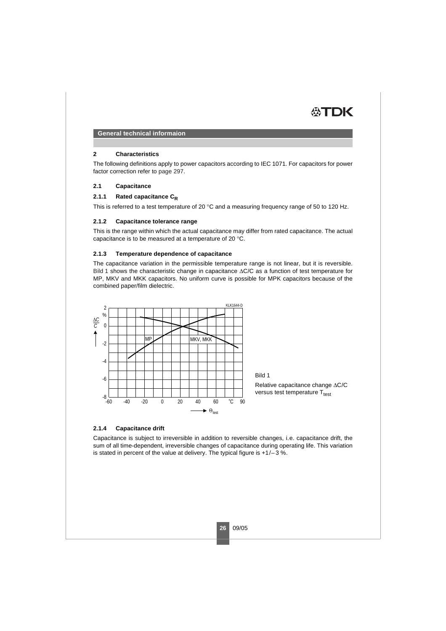

#### **2 Characteristics**

The following definitions apply to power capacitors according to IEC 1071. For capacitors for power factor correction refer to page 297.

## **2.1 Capacitance**

# 2.1.1 Rated capacitance C<sub>R</sub>

This is referred to a test temperature of 20 °C and a measuring frequency range of 50 to 120 Hz.

#### **2.1.2 Capacitance tolerance range**

This is the range within which the actual capacitance may differ from rated capacitance. The actual capacitance is to be measured at a temperature of 20 °C.

### **2.1.3 Temperature dependence of capacitance**

The capacitance variation in the permissible temperature range is not linear, but it is reversible. [Bild 1](#page-3-0) shows the characteristic change in capacitance ΔC/C as a function of test temperature for MP, MKV and MKK capacitors. No uniform curve is possible for MPK capacitors because of the combined paper/film dielectric.



## <span id="page-3-0"></span>**2.1.4 Capacitance drift**

Capacitance is subject to irreversible in addition to reversible changes, i.e. capacitance drift, the sum of all time-dependent, irreversible changes of capacitance during operating life. This variation is stated in percent of the value at delivery. The typical figure is  $+1/-3$  %.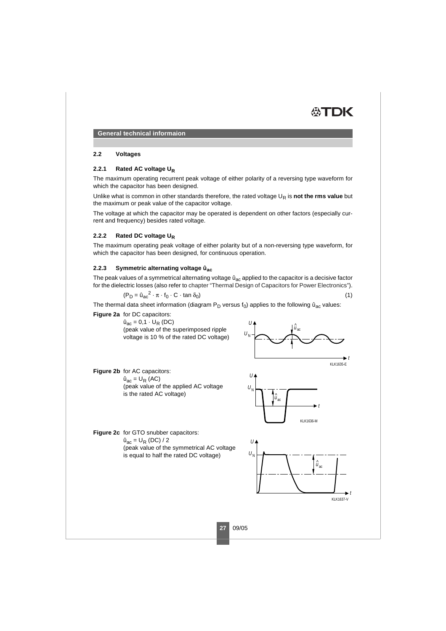

## **2.2 Voltages**

## 2.2.1 Rated AC voltage U<sub>R</sub>

The maximum operating recurrent peak voltage of either polarity of a reversing type waveform for which the capacitor has been designed.

Unlike what is common in other standards therefore, the rated voltage U<sub>R</sub> is not the rms value but the maximum or peak value of the capacitor voltage.

The voltage at which the capacitor may be operated is dependent on other factors (especially current and frequency) besides rated voltage.

## **2.2.2 Rated DC voltage UR**

The maximum operating peak voltage of either polarity but of a non-reversing type waveform, for which the capacitor has been designed, for continuous operation.

## **2.2.3 Symmetric alternating voltage ûac**

The peak values of a symmetrical alternating voltage  $\hat{u}_{ac}$  applied to the capacitor is a decisive factor for the dielectric losses (also refer to chapter "Thermal Design of Capacitors for Power Electronics").

$$
(P_D = \hat{u}_{ac}^2 \cdot \pi \cdot f_0 \cdot C \cdot \tan \delta_0)
$$
\n<sup>(1)</sup>

The thermal data sheet information (diagram  $P_D$  versus  $f_0$ ) applies to the following  $\hat{u}_{ac}$  values:

**Figure 2a** for DC capacitors:

**Figure 2b** for AC capacitors:  $\hat{u}_{ac} = U_R$  (AC)

 $\hat{u}_{ac} = 0.1 \cdot U_{R}$  (DC) (peak value of the superimposed ripple voltage is 10 % of the rated DC voltage)

(peak value of the applied AC voltage



**Figure 2c** for GTO snubber capacitors:  $\hat{u}_{ac} = U_R (DC) / 2$ (peak value of the symmetrical AC voltage is equal to half the rated DC voltage)

is the rated AC voltage)



**27** 09/05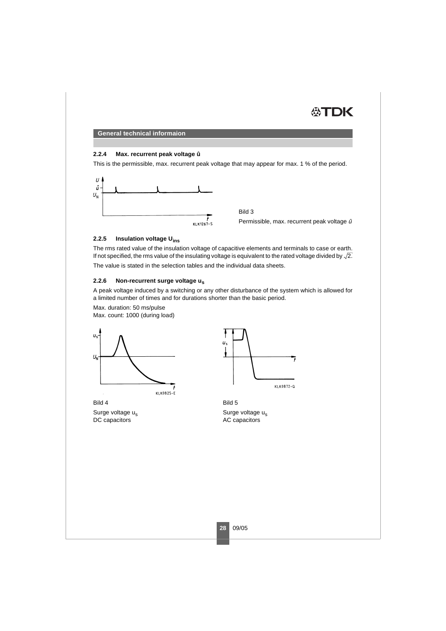

#### **2.2.4 Max. recurrent peak voltage û**

This is the permissible, max. recurrent peak voltage that may appear for max. 1 % of the period.



Bild 3 Permissible, max. recurrent peak voltage û

7

## **2.2.5 Insulation voltage Uins**

The rms rated value of the insulation voltage of capacitive elements and terminals to case or earth. If not specified, the rms value of the insulating voltage is equivalent to the rated voltage divided by  $\sqrt{2}$ .

The value is stated in the selection tables and the individual data sheets.

## **2.2.6 Non-recurrent surge voltage us**

A peak voltage induced by a switching or any other disturbance of the system which is allowed for a limited number of times and for durations shorter than the basic period.

Max. duration: 50 ms/pulse Max. count: 1000 (during load)





Bild 4

Surge voltage u<sub>s</sub> DC capacitors



Surge voltage u<sub>s</sub> AC capacitors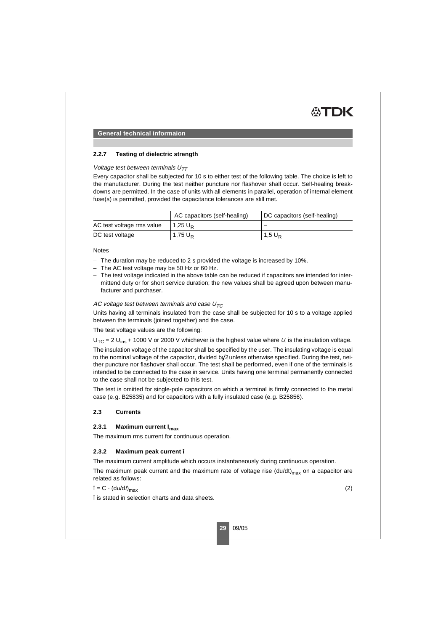# **2.2.7 Testing of dielectric strength**

# Voltage test between terminals  $U_{TT}$

Every capacitor shall be subjected for 10 s to either test of the following table. The choice is left to the manufacturer. During the test neither puncture nor flashover shall occur. Self-healing breakdowns are permitted. In the case of units with all elements in parallel, operation of internal element fuse(s) is permitted, provided the capacitance tolerances are still met.

|                           | AC capacitors (self-healing) | DC capacitors (self-healing) |
|---------------------------|------------------------------|------------------------------|
| AC test voltage rms value | 1,25 $\mathsf{U}_\mathsf{P}$ |                              |
| DC test voltage           | $1,75 \text{ U}_{\text{R}}$  | $1.5 U_{\rm B}$              |

#### **Notes**

- The duration may be reduced to 2 s provided the voltage is increased by 10%.
- The AC test voltage may be 50 Hz or 60 Hz.
- The test voltage indicated in the above table can be reduced if capacitors are intended for intermittend duty or for short service duration; the new values shall be agreed upon between manufacturer and purchaser.

## AC voltage test between terminals and case  $U_{TC}$

Units having all terminals insulated from the case shall be subjected for 10 s to a voltage applied between the terminals (joined together) and the case.

The test voltage values are the following:

 $U_{\text{TC}}$  = 2  $U_{\text{ins}}$  + 1000 V or 2000 V whichever is the highest value where  $U_i$  is the insulation voltage.

The insulation voltage of the capacitor shall be specified by the user. The insulating voltage is equal to the nominal voltage of the capacitor, divided by/2 unless otherwise specified. During the test, neither puncture nor flashover shall occur. The test shall be performed, even if one of the terminals is intended to be connected to the case in service. Units having one terminal permanently connected to the case shall not be subjected to this test.

The test is omitted for single-pole capacitors on which a terminal is firmly connected to the metal case (e.g. B25835) and for capacitors with a fully insulated case (e.g. B25856).

# **2.3 Currents**

#### **2.3.1 Maximum current Imax**

The maximum rms current for continuous operation.

# **2.3.2 Maximum peak current î**

The maximum current amplitude which occurs instantaneously during continuous operation.

The maximum peak current and the maximum rate of voltage rise  $(du/dt)_{max}$  on a capacitor are related as follows:

$$
\hat{\mathbf{i}} = \mathbf{C} \cdot (\mathbf{d}u/\mathbf{d}t)_{\text{max}} \tag{2}
$$

î is stated in selection charts and data sheets.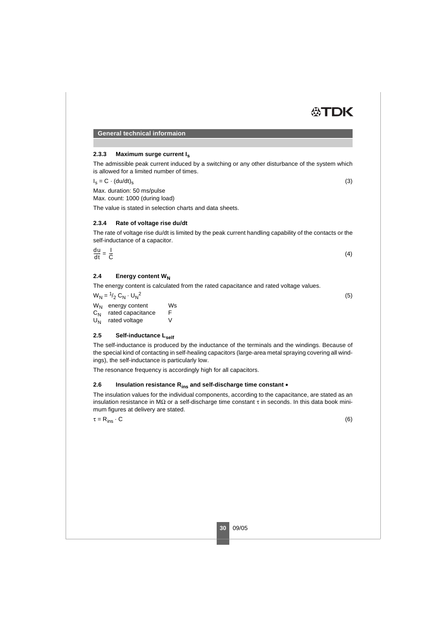# **2.3.3 Maximum surge current Is**

The admissible peak current induced by a switching or any other disturbance of the system which is allowed for a limited number of times.

 $I_s = C \cdot (du/dt)$  (3)

Max. duration: 50 ms/pulse

Max. count: 1000 (during load)

The value is stated in selection charts and data sheets.

# **2.3.4 Rate of voltage rise du/dt**

The rate of voltage rise du/dt is limited by the peak current handling capability of the contacts or the self-inductance of a capacitor.

| $\frac{du}{dt} = \frac{1}{C}$ | (4) |
|-------------------------------|-----|
|                               |     |

# 2.4 Energy content W<sub>N</sub>

The energy content is calculated from the rated capacitance and rated voltage values.

 $W_N = \frac{1}{2} G_N \cdot U_N^2$ 2  $(5)$  $W_N$  energy content Ws<br>C<sub>N</sub> rated capacitance F  $C_N$  rated capacitance F<br>U<sub>N</sub> rated voltage V rated voltage

# 2.5 Self-inductance L<sub>self</sub>

The self-inductance is produced by the inductance of the terminals and the windings. Because of the special kind of contacting in self-healing capacitors (large-area metal spraying covering all windings), the self-inductance is particularly low.

The resonance frequency is accordingly high for all capacitors.

# **2.6 Insulation resistance Rins and self-discharge time constant •**

The insulation values for the individual components, according to the capacitance, are stated as an insulation resistance in M $\Omega$  or a self-discharge time constant  $\tau$  in seconds. In this data book minimum figures at delivery are stated.

 $\tau = R_{ins} \cdot C$  (6)

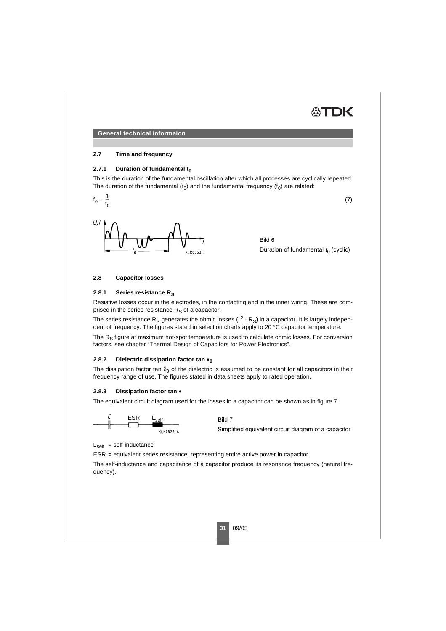

### **2.7 Time and frequency**

### **2.7.1 Duration of fundamental to**

This is the duration of the fundamental oscillation after which all processes are cyclically repeated. The duration of the fundamental  $(t_0)$  and the fundamental frequency  $(f_0)$  are related:

$$
f_0 = \frac{1}{t_0} \tag{7}
$$



Bild 6 Duration of fundamental  $t_0$  (cyclic)

## **2.8 Capacitor losses**

#### 2.8.1 Series resistance R<sub>s</sub>

Resistive losses occur in the electrodes, in the contacting and in the inner wiring. These are comprised in the series resistance  $R_{\rm s}$  of a capacitor.

The series resistance R<sub>S</sub> generates the ohmic losses ( $1^2 \cdot R_S$ ) in a capacitor. It is largely independent of frequency. The figures stated in selection charts apply to 20 °C capacitor temperature.

The R<sub>s</sub> figure at maximum hot-spot temperature is used to calculate ohmic losses. For conversion factors, see chapter "Thermal Design of Capacitors for Power Electronics".

# **2.8.2 Dielectric dissipation factor tan •<sup>0</sup>**

The dissipation factor tan  $\delta_0$  of the dielectric is assumed to be constant for all capacitors in their frequency range of use. The figures stated in data sheets apply to rated operation.

#### **2.8.3 Dissipation factor tan •**

The equivalent circuit diagram used for the losses in a capacitor can be shown as in [figure 7.](#page-8-0)

<span id="page-8-0"></span> $\mathcal{C}_{\mathcal{C}}$ **FSR** Bild 7 Simplified equivalent circuit diagram of a capacitor KLK0828-4

 $L_{\text{self}}$  = self-inductance

ESR = equivalent series resistance, representing entire active power in capacitor.

The self-inductance and capacitance of a capacitor produce its resonance frequency (natural frequency).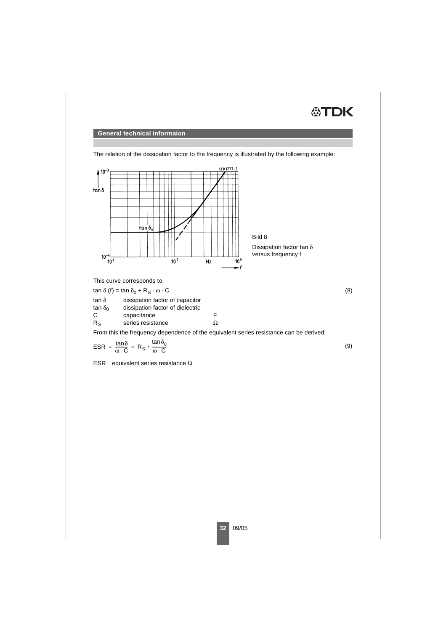



The relation of the dissipation factor to the frequency is illustrated by the following example:

tan  $\delta_0$  dissipation factor of dielectric<br>C capacitance

C capacitance F<br>R<sub>S</sub> series resistance  $\Omega$ 

series resistance

From this the frequency dependence of the equivalent series resistance can be derived:

$$
\text{ESR} = \frac{\tan \delta}{\omega \cdot C} = R_{\text{S}} + \frac{\tan \delta_0}{\omega \cdot C}
$$
 (9)

ESR equivalent series resistance Ω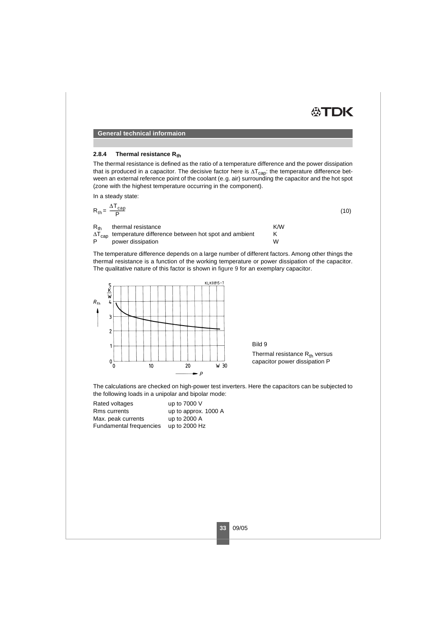

#### 2.8.4 Thermal resistance R<sub>th</sub>

The thermal resistance is defined as the ratio of a temperature difference and the power dissipation that is produced in a capacitor. The decisive factor here is  $\Delta T_{\text{can}}$ : the temperature difference between an external reference point of the coolant (e.g. air) surrounding the capacitor and the hot spot (zone with the highest temperature occurring in the component).

In a steady state:

$$
R_{th} = \frac{\Delta T_{cap}}{P}
$$
 (10)

 $R_{th}$  thermal resistance<br> $\Delta T_{\text{con}}$  temperature difference between hot spot and ambient K  $\Delta T_{cap}$  temperature difference between hot spot and ambient K<br>P power dissination power dissipation

The temperature difference depends on a large number of different factors. Among other things the thermal resistance is a function of the working temperature or power dissipation of the capacitor. The qualitative nature of this factor is shown in [figure 9](#page-10-0) for an exemplary capacitor.



<span id="page-10-0"></span>Bild 9 Thermal resistance  $R_{th}$  versus capacitor power dissipation P

The calculations are checked on high-power test inverters. Here the capacitors can be subjected to the following loads in a unipolar and bipolar mode:

| Rated voltages          | up to 7000 V         |
|-------------------------|----------------------|
| Rms currents            | up to approx. 1000 A |
| Max. peak currents      | up to 2000 A         |
| Fundamental frequencies | up to 2000 Hz        |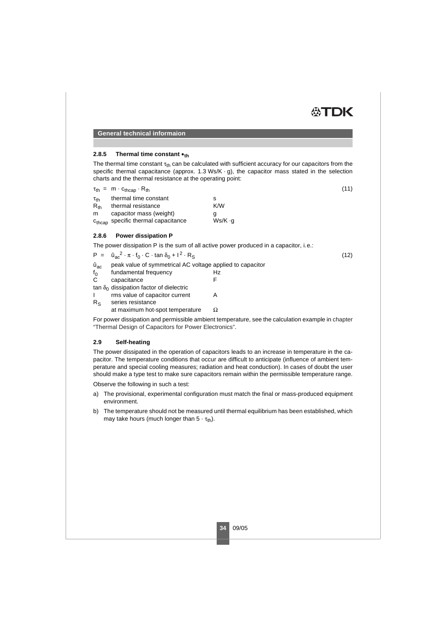

### **2.8.5 Thermal time constant •th**

The thermal time constant  $\tau_{th}$  can be calculated with sufficient accuracy for our capacitors from the specific thermal capacitance (approx. 1.3 Ws/K  $\cdot$  g), the capacitor mass stated in the selection charts and the thermal resistance at the operating point:

|                    | $\tau_{\text{th}} = m \cdot c_{\text{thcap}} \cdot R_{\text{th}}$ |         | (11) |
|--------------------|-------------------------------------------------------------------|---------|------|
| $\tau_{\text{th}}$ | thermal time constant                                             |         |      |
| $R_{th}$           | thermal resistance                                                | K/W     |      |
| m                  | capacitor mass (weight)                                           |         |      |
|                    | c <sub>thcap</sub> specific thermal capacitance                   | Ws/K ·q |      |

## **2.8.6 Power dissipation P**

The power dissipation P is the sum of all active power produced in a capacitor, i.e.:

|                | $P = \hat{u}_{ac}^2 \cdot \pi \cdot f_0 \cdot C \cdot \tan \delta_0 + I^2 \cdot R_S$ |    | (12) |
|----------------|--------------------------------------------------------------------------------------|----|------|
| $\hat{u}_{ac}$ | peak value of symmetrical AC voltage applied to capacitor                            |    |      |
| $f_{0}$        | fundamental frequency                                                                | Hz |      |
| C              | capacitance                                                                          |    |      |
|                | tan $\delta_0$ dissipation factor of dielectric                                      |    |      |
|                | rms value of capacitor current                                                       |    |      |
| $R_{S}$        | series resistance                                                                    |    |      |
|                | at maximum hot-spot temperature                                                      |    |      |

For power dissipation and permissible ambient temperature, see the calculation example in chapter "Thermal Design of Capacitors for Power Electronics".

# **2.9 Self-heating**

The power dissipated in the operation of capacitors leads to an increase in temperature in the capacitor. The temperature conditions that occur are difficult to anticipate (influence of ambient temperature and special cooling measures; radiation and heat conduction). In cases of doubt the user should make a type test to make sure capacitors remain within the permissible temperature range.

Observe the following in such a test:

- a) The provisional, experimental configuration must match the final or mass-produced equipment environment.
- b) The temperature should not be measured until thermal equilibrium has been established, which may take hours (much longer than  $5 \cdot \tau_{\text{th}}$ ).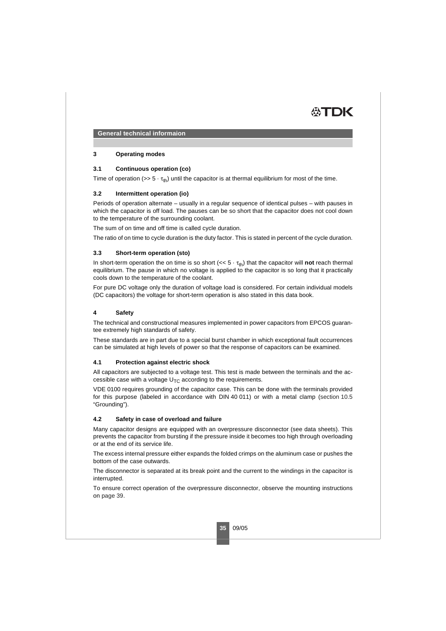

#### **3 Operating modes**

## **3.1 Continuous operation (co)**

Time of operation ( $>> 5 \cdot \tau_{th}$ ) until the capacitor is at thermal equilibrium for most of the time.

## **3.2 Intermittent operation (io)**

Periods of operation alternate – usually in a regular sequence of identical pulses – with pauses in which the capacitor is off load. The pauses can be so short that the capacitor does not cool down to the temperature of the surrounding coolant.

The sum of on time and off time is called cycle duration.

The ratio of on time to cycle duration is the duty factor. This is stated in percent of the cycle duration.

#### **3.3 Short-term operation (sto)**

In short-term operation the on time is so short  $(< 5 \cdot \tau_{\text{th}})$  that the capacitor will **not** reach thermal equilibrium. The pause in which no voltage is applied to the capacitor is so long that it practically cools down to the temperature of the coolant.

For pure DC voltage only the duration of voltage load is considered. For certain individual models (DC capacitors) the voltage for short-term operation is also stated in this data book.

## **4 Safety**

The technical and constructional measures implemented in power capacitors from EPCOS guarantee extremely high standards of safety.

These standards are in part due to a special burst chamber in which exceptional fault occurrences can be simulated at high levels of power so that the response of capacitors can be examined.

#### **4.1 Protection against electric shock**

All capacitors are subjected to a voltage test. This test is made between the terminals and the accessible case with a voltage  $U<sub>TC</sub>$  according to the requirements.

VDE 0100 requires grounding of the capacitor case. This can be done with the terminals provided for this purpose (labeled in accordance with DIN 40 011) or with a metal clamp [\(section 10.5](#page-17-0) "Grounding").

#### **4.2 Safety in case of overload and failure**

Many capacitor designs are equipped with an overpressure disconnector (see data sheets). This prevents the capacitor from bursting if the pressure inside it becomes too high through overloading or at the end of its service life.

The excess internal pressure either expands the folded crimps on the aluminum case or pushes the bottom of the case outwards.

The disconnector is separated at its break point and the current to the windings in the capacitor is interrupted.

To ensure correct operation of the overpressure disconnector, observe the mounting instructions on [page 39.](#page-16-0)

**35** 09/05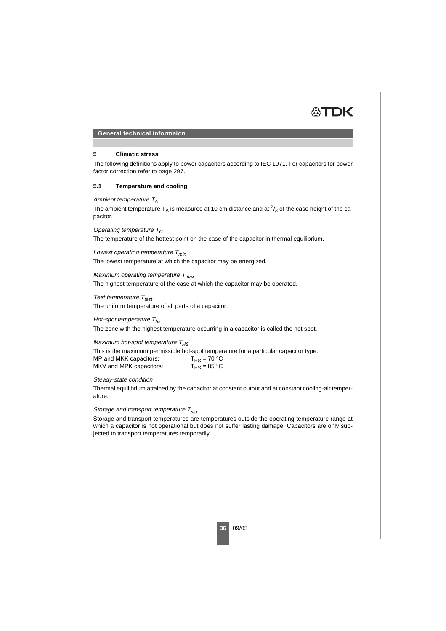

#### **5 Climatic stress**

The following definitions apply to power capacitors according to IEC 1071. For capacitors for power factor correction refer to page 297.

# **5.1 Temperature and cooling**

#### Ambient temperature  $T_A$

The ambient temperature T<sub>A</sub> is measured at 10 cm distance and at  $\frac{2}{3}$  of the case height of the capacitor.

## Operating temperature  $T_C$

The temperature of the hottest point on the case of the capacitor in thermal equilibrium.

Lowest operating temperature  $T_{min}$ 

The lowest temperature at which the capacitor may be energized.

## Maximum operating temperature  $T_{\text{max}}$

The highest temperature of the case at which the capacitor may be operated.

#### Test temperature  $T_{test}$

The uniform temperature of all parts of a capacitor.

#### Hot-spot temperature  $T_{hs}$

The zone with the highest temperature occurring in a capacitor is called the hot spot.

#### Maximum hot-spot temperature  $T_{HS}$

This is the maximum permissible hot-spot temperature for a particular capacitor type. MP and MKK capacitors:  $T_{\text{HS}} = 70 \text{ °C}$ <br>MKV and MPK capacitors:  $T_{\text{HS}} = 85 \text{ °C}$ MKV and MPK capacitors:

#### Steady-state condition

Thermal equilibrium attained by the capacitor at constant output and at constant cooling-air temperature.

#### Storage and transport temperature  $T_{sta}$

Storage and transport temperatures are temperatures outside the operating-temperature range at which a capacitor is not operational but does not suffer lasting damage. Capacitors are only subjected to transport temperatures temporarily.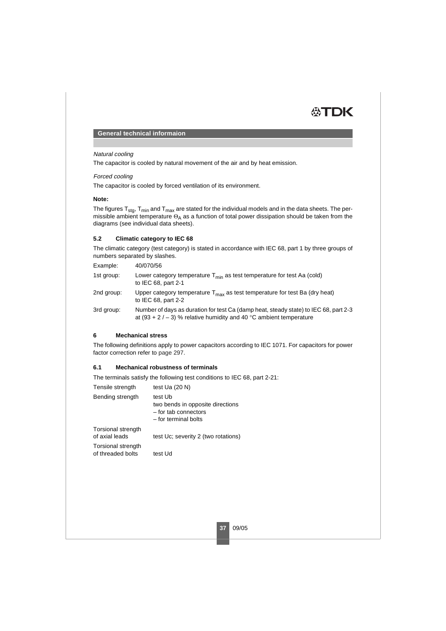

### Natural cooling

The capacitor is cooled by natural movement of the air and by heat emission.

## Forced cooling

The capacitor is cooled by forced ventilation of its environment.

## **Note:**

The figures  $T_{sta}$ ,  $T_{min}$  and  $T_{max}$  are stated for the individual models and in the data sheets. The permissible ambient temperature  $\Theta_A$  as a function of total power dissipation should be taken from the diagrams (see individual data sheets).

# **5.2 Climatic category to IEC 68**

The climatic category (test category) is stated in accordance with IEC 68, part 1 by three groups of numbers separated by slashes.

| Example:   | 40/070/56                                                                                                                                                   |
|------------|-------------------------------------------------------------------------------------------------------------------------------------------------------------|
| 1st group: | Lower category temperature $T_{\text{min}}$ as test temperature for test Aa (cold)<br>to IEC 68, part 2-1                                                   |
| 2nd group: | Upper category temperature $T_{\text{max}}$ as test temperature for test Ba (dry heat)<br>to IEC 68, part 2-2                                               |
| 3rd group: | Number of days as duration for test Ca (damp heat, steady state) to IEC 68, part 2-3<br>at (93 + 2 / - 3) % relative humidity and 40 °C ambient temperature |

# **6 Mechanical stress**

The following definitions apply to power capacitors according to IEC 1071. For capacitors for power factor correction refer to page 297.

# **6.1 Mechanical robustness of terminals**

The terminals satisfy the following test conditions to IEC 68, part 2-21:

| Tensile strength                               | test Ua $(20 N)$                                                                            |
|------------------------------------------------|---------------------------------------------------------------------------------------------|
| Bending strength                               | test Ub<br>two bends in opposite directions<br>- for tab connectors<br>- for terminal bolts |
| <b>Torsional strength</b><br>of axial leads    | test Uc; severity 2 (two rotations)                                                         |
| <b>Torsional strength</b><br>of threaded bolts | test Ud                                                                                     |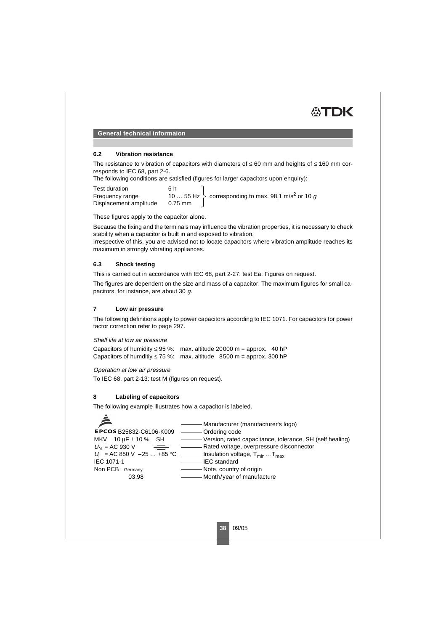

#### **6.2 Vibration resistance**

The resistance to vibration of capacitors with diameters of ≤ 60 mm and heights of ≤ 160 mm corresponds to IEC 68, part 2-6.

The following conditions are satisfied (figures for larger capacitors upon enquiry):

Test duration<br>
Frequency range  $10...55$  Hz Frequency range Displacement amplitude  $\left.\rule{0pt}{13pt}\right\}$  corresponding to max. 98,1 m/s<sup>2</sup> or 10  $g$ 

These figures apply to the capacitor alone.

Because the fixing and the terminals may influence the vibration properties, it is necessary to check stability when a capacitor is built in and exposed to vibration.

Irrespective of this, you are advised not to locate capacitors where vibration amplitude reaches its maximum in strongly vibrating appliances.

#### **6.3 Shock testing**

This is carried out in accordance with IEC 68, part 2-27: test Ea. Figures on request.

The figures are dependent on the size and mass of a capacitor. The maximum figures for small capacitors, for instance, are about 30 g.

#### **7 Low air pressure**

The following definitions apply to power capacitors according to IEC 1071. For capacitors for power factor correction refer to page 297.

#### Shelf life at low air pressure

Capacitors of humidity  $\leq$  95 %: max. altitude 20000 m = approx. 40 hP Capacitors of humditiy  $\leq 75$  %: max. altitude 8500 m = approx. 300 hP

#### Operation at low air pressure

To IEC 68, part 2-13: test M (figures on request).

#### **8 Labeling of capacitors**

The following example illustrates how a capacitor is labeled.

Manufacturer (manufacturer's logo) **EPCOS B25832-C6106-K009** Ordering code Version, rated capacitance, tolerance, SH (self healing) MKV  $10 \text{ uF} \pm 10 \text{ % }$  SH Rated voltage, overpressure disconnector  $U_{\text{N}}$  = AC 930 V  $+$ Insulation voltage, T<sub>min</sub> ... T<sub>max</sub>  $U_i$  = AC 850 V – 25 ... + 85 °C – IEC standard IEC 1071-1 Non PCB Germany Note, country of origin 03.98 - Month/year of manufacture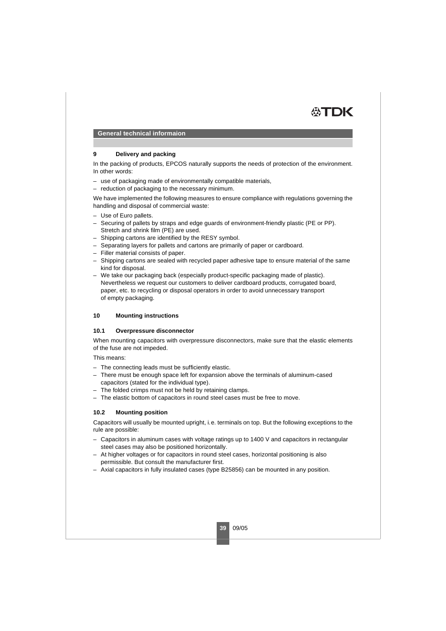

#### **9 Delivery and packing**

In the packing of products, EPCOS naturally supports the needs of protection of the environment. In other words:

- use of packaging made of environmentally compatible materials,
- reduction of packaging to the necessary minimum.

We have implemented the following measures to ensure compliance with regulations governing the handling and disposal of commercial waste:

- Use of Euro pallets.
- Securing of pallets by straps and edge guards of environment-friendly plastic (PE or PP). Stretch and shrink film (PE) are used.
- Shipping cartons are identified by the RESY symbol.
- Separating layers for pallets and cartons are primarily of paper or cardboard.
- Filler material consists of paper.
- Shipping cartons are sealed with recycled paper adhesive tape to ensure material of the same kind for disposal.
- We take our packaging back (especially product-specific packaging made of plastic). Nevertheless we request our customers to deliver cardboard products, corrugated board, paper, etc. to recycling or disposal operators in order to avoid unnecessary transport of empty packaging.

#### <span id="page-16-0"></span>**10 Mounting instructions**

#### **10.1 Overpressure disconnector**

When mounting capacitors with overpressure disconnectors, make sure that the elastic elements of the fuse are not impeded.

This means:

- The connecting leads must be sufficiently elastic.
- There must be enough space left for expansion above the terminals of aluminum-cased capacitors (stated for the individual type).
- The folded crimps must not be held by retaining clamps.
- The elastic bottom of capacitors in round steel cases must be free to move.

## **10.2 Mounting position**

Capacitors will usually be mounted upright, i.e. terminals on top. But the following exceptions to the rule are possible:

- Capacitors in aluminum cases with voltage ratings up to 1400 V and capacitors in rectangular steel cases may also be positioned horizontally.
- At higher voltages or for capacitors in round steel cases, horizontal positioning is also permissible. But consult the manufacturer first.
- Axial capacitors in fully insulated cases (type B25856) can be mounted in any position.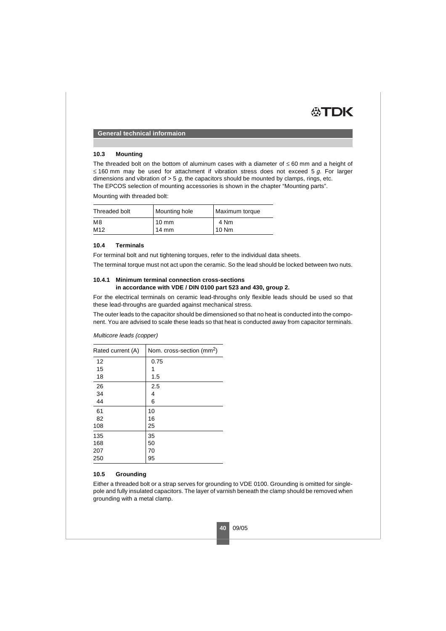

### **10.3 Mounting**

The threaded bolt on the bottom of aluminum cases with a diameter of  $\leq 60$  mm and a height of ≤ 160 mm may be used for attachment if vibration stress does not exceed 5 g. For larger dimensions and vibration of  $>$  5  $q$ , the capacitors should be mounted by clamps, rings, etc. The EPCOS selection of mounting accessories is shown in the chapter "Mounting parts".

Mounting with threaded bolt:

| Threaded bolt   | Mounting hole   | Maximum torque |
|-----------------|-----------------|----------------|
| M8              | $10 \text{ mm}$ | 4 Nm           |
| M <sub>12</sub> | $14 \text{ mm}$ | 10 Nm          |

## **10.4 Terminals**

For terminal bolt and nut tightening torques, refer to the individual data sheets.

The terminal torque must not act upon the ceramic. So the lead should be locked between two nuts.

## **10.4.1 Minimum terminal connection cross-sections in accordance with VDE / DIN 0100 part 523 and 430, group 2.**

For the electrical terminals on ceramic lead-throughs only flexible leads should be used so that these lead-throughs are guarded against mechanical stress.

The outer leads to the capacitor should be dimensioned so that no heat is conducted into the component. You are advised to scale these leads so that heat is conducted away from capacitor terminals.

| Rated current (A) | Nom. cross-section (mm <sup>2</sup> ) |
|-------------------|---------------------------------------|
| 12                | 0.75                                  |
| 15                | 1                                     |
| 18                | 1.5                                   |
| 26                | 2.5                                   |
| 34                | 4                                     |
| 44                | 6                                     |
| 61                | 10                                    |
| 82                | 16                                    |
| 108               | 25                                    |
| 135               | 35                                    |
| 168               | 50                                    |
| 207               | 70                                    |
| 250               | 95                                    |

Multicore leads (copper)

# <span id="page-17-0"></span>**10.5 Grounding**

Either a threaded bolt or a strap serves for grounding to VDE 0100. Grounding is omitted for singlepole and fully insulated capacitors. The layer of varnish beneath the clamp should be removed when grounding with a metal clamp.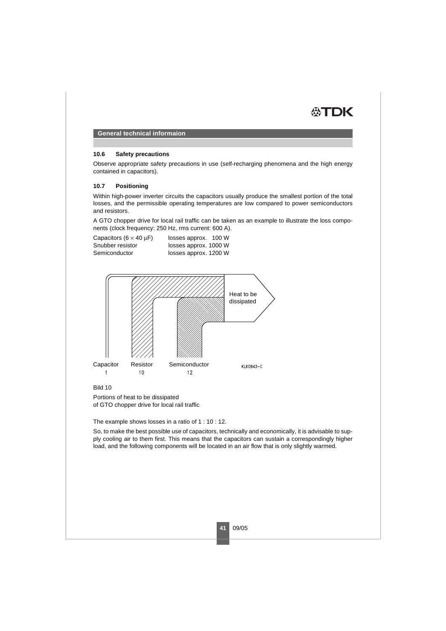

### **10.6 Safety precautions**

Observe appropriate safety precautions in use (self-recharging phenomena and the high energy contained in capacitors).

## **10.7 Positioning**

Within high-power inverter circuits the capacitors usually produce the smallest portion of the total losses, and the permissible operating temperatures are low compared to power semiconductors and resistors.

A GTO chopper drive for local rail traffic can be taken as an example to illustrate the loss components (clock frequency: 250 Hz, rms current: 600 A).

Capacitors  $(6 \times 40 \text{ }\mu\text{F})$  losses approx. 100 W Snubber resistor losses approx. 1000 W<br>Semiconductor losses approx. 1200 W losses approx. 1200 W



Bild 10

Portions of heat to be dissipated of GTO chopper drive for local rail traffic

The example shows losses in a ratio of 1 : 10 : 12.

So, to make the best possible use of capacitors, technically and economically, it is advisable to supply cooling air to them first. This means that the capacitors can sustain a correspondingly higher load, and the following components will be located in an air flow that is only slightly warmed.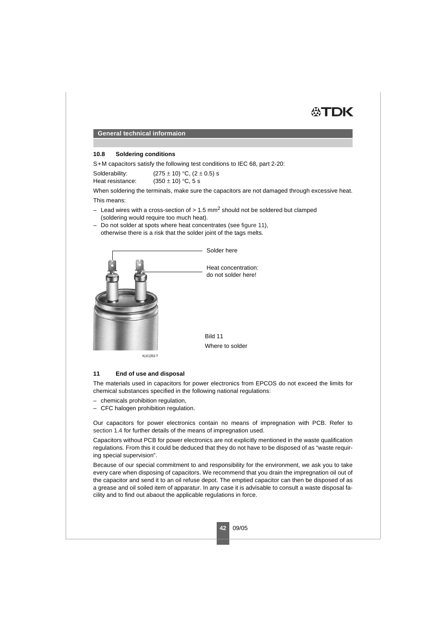

#### **10.8 Soldering conditions**

S+M capacitors satisfy the following test conditions to IEC 68, part 2-20:

| Solderability:   | $(275 \pm 10)$ °C, $(2 \pm 0.5)$ s |
|------------------|------------------------------------|
| Heat resistance: | $(350 \pm 10)$ °C, 5 s             |

When soldering the terminals, make sure the capacitors are not damaged through excessive heat.

This means:

- Lead wires with a cross-section of  $> 1.5$  mm<sup>2</sup> should not be soldered but clamped (soldering would require too much heat).
- Do not solder at spots where heat concentrates (see [figure 11](#page-19-1)), otherwise there is a risk that the solder joint of the tags melts.



<span id="page-19-1"></span>KLK1353-T

#### <span id="page-19-0"></span>**11 End of use and disposal**

The materials used in capacitors for power electronics from EPCOS do not exceed the limits for chemical substances specified in the following national regulations:

- chemicals prohibition regulation,
- CFC halogen prohibition regulation.

Our capacitors for power electronics contain no means of impregnation with PCB. Refer to [section 1.4](#page-2-0) for further details of the means of impregnation used.

Capacitors without PCB for power electronics are not explicitly mentioned in the waste qualification regulations. From this it could be deduced that they do not have to be disposed of as "waste requiring special supervision".

Because of our special commitment to and responsibility for the environment, we ask you to take every care when disposing of capacitors. We recommend that you drain the impregnation oil out of the capacitor and send it to an oil refuse depot. The emptied capacitor can then be disposed of as a grease and oil soiled item of apparatur. In any case it is advisable to consult a waste disposal facility and to find out abaout the applicable regulations in force.

**42** 09/05